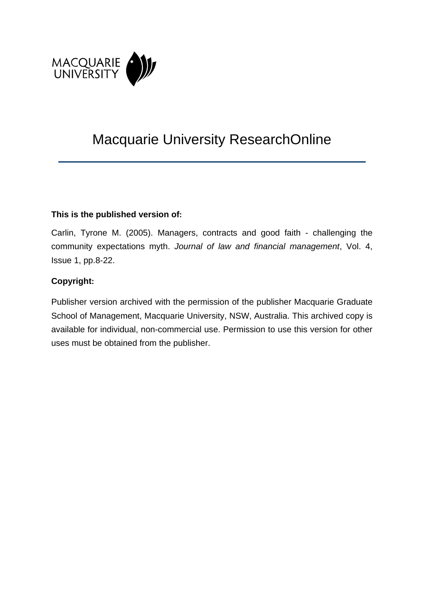

# Macquarie University ResearchOnline

### **This is the published version of:**

Carlin, Tyrone M. (2005). Managers, contracts and good faith - challenging the community expectations myth. *Journal of law and financial management*, Vol. 4, Issue 1, pp.8-22.

## **Copyright:**

Publisher version archived with the permission of the publisher Macquarie Graduate School of Management, Macquarie University, NSW, Australia. This archived copy is available for individual, non-commercial use. Permission to use this version for other uses must be obtained from the publisher.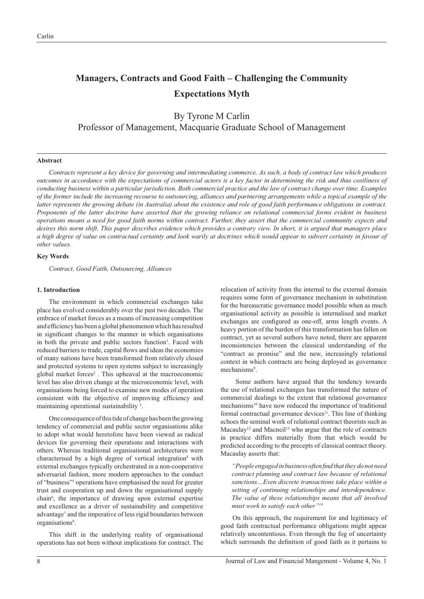## **Managers, Contracts and Good Faith – Challenging the Community Expectations Myth**

By Tyrone M Carlin Professor of Management, Macquarie Graduate School of Management

#### **Abstract**

*Contracts represent a key device for governing and intermediating commerce. As such, a body of contract law which produces outcomes in accordance with the expectations of commercial actors is a key factor in determining the risk and thus costliness of conducting business within a particular jurisdiction. Both commercial practice and the law of contract change over time. Examples of the former include the increasing recourse to outsourcing, alliances and partnering arrangements while a topical example of the latter represents the growing debate (in Australia) about the existence and role of good faith performance obligations in contract. Proponents of the latter doctrine have asserted that the growing reliance on relational commercial forms evident in business operations means a need for good faith norms within contract. Further, they assert that the commercial community expects and desires this norm shift. This paper describes evidence which provides a contrary view. In short, it is argued that managers place a high degree of value on contractual certainty and look warily at doctrines which would appear to subvert certainty in favour of other values.*

#### **Key Words**

*Contract, Good Faith, Outsourcing, Alliances*

#### **1. Introduction**

The environment in which commercial exchanges take place has evolved considerably over the past two decades. The embrace of market forces as a means of increasing competition and efficiency has been a global phenomenon which has resulted in significant changes to the manner in which organisations in both the private and public sectors function<sup>1</sup>. Faced with reduced barriers to trade, capital flows and ideas the economies of many nations have been transformed from relatively closed and protected systems to open systems subject to increasingly global market forces<sup>2</sup>. This upheaval at the macroeconomic level has also driven change at the microeconomic level, with organisations being forced to examine new modes of operation consistent with the objective of improving efficiency and maintaining operational sustainability<sup>3</sup>.

One consequence of this tide of change has been the growing tendency of commercial and public sector organisations alike to adopt what would heretofore have been viewed as radical devices for governing their operations and interactions with others. Whereas traditional organisational architectures were characterised by a high degree of vertical integration<sup>4</sup> with external exchanges typically orchestrated in a non-cooperative adversarial fashion, more modern approaches to the conduct of "business"5 operations have emphasised the need for greater trust and cooperation up and down the organisational supply chain<sup>6</sup>, the importance of drawing upon external expertise and excellence as a driver of sustainability and competitive advantage<sup>7</sup> and the imperative of less rigid boundaries between organisations<sup>8</sup>.

This shift in the underlying reality of organisational operations has not been without implications for contract. The relocation of activity from the internal to the external domain requires some form of governance mechanism in substitution for the bureaucratic governance model possible when as much organisational activity as possible is internalised and market exchanges are configured as one-off, arms length events. A heavy portion of the burden of this transformation has fallen on contract, yet as several authors have noted, there are apparent inconsistencies between the classical understanding of the "contract as promise" and the new, increasingly relational context in which contracts are being deployed as governance mechanisms<sup>9</sup>.

 Some authors have argued that the tendency towards the use of relational exchanges has transformed the nature of commercial dealings to the extent that relational governance mechanisms<sup>10</sup> have now reduced the importance of traditional formal contractual governance devices $11$ . This line of thinking echoes the seminal work of relational contract theorists such as Macaulay<sup>12</sup> and Macneil<sup>13</sup> who argue that the role of contracts in practice differs materially from that which would be predicted according to the precepts of classical contract theory. Macaulay asserts that:

*"People engaged in business often fi nd that they do not need contract planning and contract law because of relational sanctions…Even discrete transactions take place within a setting of continuing relationships and interdependence. The value of these relationships means that all involved must work to satisfy each other"14*

On this approach, the requirement for and legitimacy of good faith contractual performance obligations might appear relatively uncontentious. Even through the fog of uncertainty which surrounds the definition of good faith as it pertains to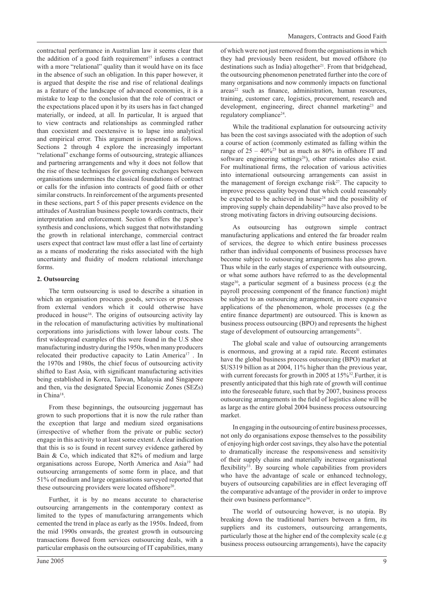contractual performance in Australian law it seems clear that the addition of a good faith requirement<sup>15</sup> infuses a contract with a more "relational" quality than it would have on its face in the absence of such an obligation. In this paper however, it is argued that despite the rise and rise of relational dealings as a feature of the landscape of advanced economies, it is a mistake to leap to the conclusion that the role of contract or the expectations placed upon it by its users has in fact changed materially, or indeed, at all. In particular, It is argued that to view contracts and relationships as commingled rather than coexistent and coextensive is to lapse into analytical and empirical error. This argument is presented as follows. Sections 2 through 4 explore the increasingly important "relational" exchange forms of outsourcing, strategic alliances and partnering arrangements and why it does not follow that the rise of these techniques for governing exchanges between organisations undermines the classical foundations of contract or calls for the infusion into contracts of good faith or other similar constructs. In reinforcement of the arguments presented in these sections, part 5 of this paper presents evidence on the attitudes of Australian business people towards contracts, their interpretation and enforcement. Section 6 offers the paper's synthesis and conclusions, which suggest that notwithstanding the growth in relational interchange, commercial contract users expect that contract law must offer a last line of certainty as a means of moderating the risks associated with the high uncertainty and fluidity of modern relational interchange forms.

#### **2. Outsourcing**

The term outsourcing is used to describe a situation in which an organisation procures goods, services or processes from external vendors which it could otherwise have produced in house<sup>16</sup>. The origins of outsourcing activity lay in the relocation of manufacturing activities by multinational corporations into jurisdictions with lower labour costs. The first widespread examples of this were found in the U.S shoe manufacturing industry during the 1950s, when many producers relocated their productive capacity to Latin America<sup>17</sup>. In the 1970s and 1980s, the chief focus of outsourcing activity shifted to East Asia, with significant manufacturing activities being established in Korea, Taiwan, Malaysia and Singapore and then, via the designated Special Economic Zones (SEZs) in China18.

From these beginnings, the outsourcing juggernaut has grown to such proportions that it is now the rule rather than the exception that large and medium sized organisations (irrespective of whether from the private or public sector) engage in this activity to at least some extent. A clear indication that this is so is found in recent survey evidence gathered by Bain & Co, which indicated that 82% of medium and large organisations across Europe, North America and Asia19 had outsourcing arrangements of some form in place, and that 51% of medium and large organisations surveyed reported that these outsourcing providers were located offshore<sup>20</sup>.

Further, it is by no means accurate to characterise outsourcing arrangements in the contemporary context as limited to the types of manufacturing arrangements which cemented the trend in place as early as the 1950s. Indeed, from the mid 1990s onwards, the greatest growth in outsourcing transactions flowed from services outsourcing deals, with a particular emphasis on the outsourcing of IT capabilities, many of which were not just removed from the organisations in which they had previously been resident, but moved offshore (to destinations such as India) altogether<sup>21</sup>. From that bridgehead, the outsourcing phenomenon penetrated further into the core of many organisations and now commonly impacts on functional  $\arccos^{22}$  such as finance, administration, human resources, training, customer care, logistics, procurement, research and development, engineering, direct channel marketing<sup>23</sup> and regulatory compliance<sup>24</sup>.

While the traditional explanation for outsourcing activity has been the cost savings associated with the adoption of such a course of action (commonly estimated as falling within the range of  $25 - 40\%$ <sup>25</sup> but as much as 80% in offshore IT and software engineering settings<sup>26</sup>), other rationales also exist. For multinational firms, the relocation of various activities into international outsourcing arrangements can assist in the management of foreign exchange risk $2^7$ . The capacity to improve process quality beyond that which could reasonably be expected to be achieved in house<sup>28</sup> and the possibility of improving supply chain dependability<sup>29</sup> have also proved to be strong motivating factors in driving outsourcing decisions.

As outsourcing has outgrown simple contract manufacturing applications and entered the far broader realm of services, the degree to which entire business processes rather than individual components of business processes have become subject to outsourcing arrangements has also grown. Thus while in the early stages of experience with outsourcing, or what some authors have referred to as the developmental stage<sup>30</sup>, a particular segment of a business process (e.g the payroll processing component of the finance function) might be subject to an outsourcing arrangement, in more expansive applications of the phenomenon, whole processes (e.g the entire finance department) are outsourced. This is known as business process outsourcing (BPO) and represents the highest stage of development of outsourcing arrangements<sup>31</sup>.

The global scale and value of outsourcing arrangements is enormous, and growing at a rapid rate. Recent estimates have the global business process outsourcing (BPO) market at \$US319 billion as at 2004, 11% higher than the previous year, with current forecasts for growth in 2005 at  $15\%$ <sup>32</sup>. Further, it is presently anticipated that this high rate of growth will continue into the foreseeable future, such that by 2007, business process outsourcing arrangements in the field of logistics alone will be as large as the entire global 2004 business process outsourcing market.

In engaging in the outsourcing of entire business processes, not only do organisations expose themselves to the possibility of enjoying high order cost savings, they also have the potential to dramatically increase the responsiveness and sensitivity of their supply chains and materially increase organisational flexibility<sup>33</sup>. By sourcing whole capabilities from providers who have the advantage of scale or enhanced technology, buyers of outsourcing capabilities are in effect leveraging off the comparative advantage of the provider in order to improve their own business performance<sup>34</sup>.

The world of outsourcing however, is no utopia. By breaking down the traditional barriers between a firm, its suppliers and its customers, outsourcing arrangements, particularly those at the higher end of the complexity scale (e.g business process outsourcing arrangements), have the capacity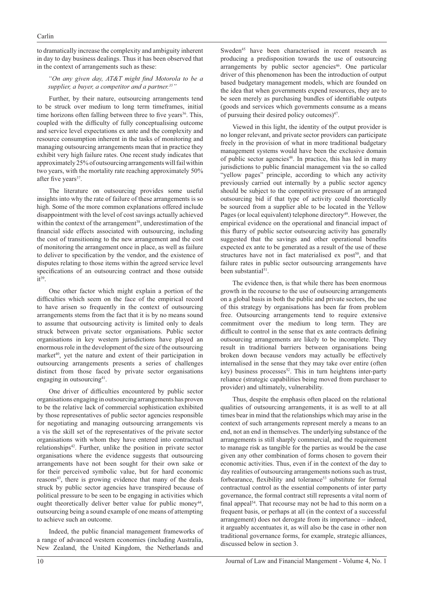to dramatically increase the complexity and ambiguity inherent in day to day business dealings. Thus it has been observed that in the context of arrangements such as these:

#### "On any given day, AT&T might find Motorola to be a supplier, a buyer, a competitor and a partner.<sup>35</sup>

Further, by their nature, outsourcing arrangements tend to be struck over medium to long term timeframes, initial time horizons often falling between three to five years<sup>36</sup>. This, coupled with the difficulty of fully conceptualising outcome and service level expectations ex ante and the complexity and resource consumption inherent in the tasks of monitoring and managing outsourcing arrangements mean that in practice they exhibit very high failure rates. One recent study indicates that approximately 25% of outsourcing arrangements will fail within two years, with the mortality rate reaching approximately 50% after five years<sup>37</sup>.

The literature on outsourcing provides some useful insights into why the rate of failure of these arrangements is so high. Some of the more common explanations offered include disappointment with the level of cost savings actually achieved within the context of the arrangement<sup>38</sup>, underestimation of the financial side effects associated with outsourcing, including the cost of transitioning to the new arrangement and the cost of monitoring the arrangement once in place, as well as failure to deliver to specification by the vendor, and the existence of disputes relating to those items within the agreed service level specifications of an outsourcing contract and those outside it<sup>39</sup>.

One other factor which might explain a portion of the difficulties which seem on the face of the empirical record to have arisen so frequently in the context of outsourcing arrangements stems from the fact that it is by no means sound to assume that outsourcing activity is limited only to deals struck between private sector organisations. Public sector organisations in key western jurisdictions have played an enormous role in the development of the size of the outsourcing market<sup>40</sup>, yet the nature and extent of their participation in outsourcing arrangements presents a series of challenges distinct from those faced by private sector organisations engaging in outsourcing<sup>41</sup>.

One driver of difficulties encountered by public sector organisations engaging in outsourcing arrangements has proven to be the relative lack of commercial sophistication exhibited by those representatives of public sector agencies responsible for negotiating and managing outsourcing arrangements vis a vis the skill set of the representatives of the private sector organisations with whom they have entered into contractual relationships<sup>42</sup>. Further, unlike the position in private sector organisations where the evidence suggests that outsourcing arrangements have not been sought for their own sake or for their perceived symbolic value, but for hard economic reasons<sup>43</sup>, there is growing evidence that many of the deals struck by public sector agencies have transpired because of political pressure to be seen to be engaging in activities which ought theoretically deliver better value for public money<sup>44</sup>. outsourcing being a sound example of one means of attempting to achieve such an outcome.

Indeed, the public financial management frameworks of a range of advanced western economies (including Australia, New Zealand, the United Kingdom, the Netherlands and

Sweden<sup>45</sup> have been characterised in recent research as producing a predisposition towards the use of outsourcing arrangements by public sector agencies<sup>46</sup>. One particular driver of this phenomenon has been the introduction of output based budgetary management models, which are founded on the idea that when governments expend resources, they are to be seen merely as purchasing bundles of identifiable outputs (goods and services which governments consume as a means of pursuing their desired policy outcomes) $47$ .

Viewed in this light, the identity of the output provider is no longer relevant, and private sector providers can participate freely in the provision of what in more traditional budgetary management systems would have been the exclusive domain of public sector agencies<sup>48</sup>. In practice, this has led in many jurisdictions to public financial management via the so called "yellow pages" principle, according to which any activity previously carried out internally by a public sector agency should be subject to the competitive pressure of an arranged outsourcing bid if that type of activity could theoretically be sourced from a supplier able to be located in the Yellow Pages (or local equivalent) telephone directory<sup>49</sup>. However, the empirical evidence on the operational and financial impact of this flurry of public sector outsourcing activity has generally suggested that the savings and other operational benefits expected ex ante to be generated as a result of the use of these structures have not in fact materialised ex post<sup>50</sup>, and that failure rates in public sector outsourcing arrangements have been substantial<sup>51</sup>.

The evidence then, is that while there has been enormous growth in the recourse to the use of outsourcing arrangements on a global basis in both the public and private sectors, the use of this strategy by organisations has been far from problem free. Outsourcing arrangements tend to require extensive commitment over the medium to long term. They are difficult to control in the sense that ex ante contracts defining outsourcing arrangements are likely to be incomplete. They result in traditional barriers between organisations being broken down because vendors may actually be effectively internalised in the sense that they may take over entire (often  $key)$  business processes<sup>52</sup>. This in turn heightens inter-party reliance (strategic capabilities being moved from purchaser to provider) and ultimately, vulnerability.

Thus, despite the emphasis often placed on the relational qualities of outsourcing arrangements, it is as well to at all times bear in mind that the relationships which may arise in the context of such arrangements represent merely a means to an end, not an end in themselves. The underlying substance of the arrangements is still sharply commercial, and the requirement to manage risk as tangible for the parties as would be the case given any other combination of forms chosen to govern their economic activities. Thus, even if in the context of the day to day realities of outsourcing arrangements notions such as trust, forbearance, flexibility and tolerance<sup>53</sup> substitute for formal contractual control as the essential components of inter party governance, the formal contract still represents a vital norm of final appeal<sup>54</sup>. That recourse may not be had to this norm on a frequent basis, or perhaps at all (in the context of a successful arrangement) does not derogate from its importance – indeed, it arguably accentuates it, as will also be the case in other non traditional governance forms, for example, strategic alliances, discussed below in section 3.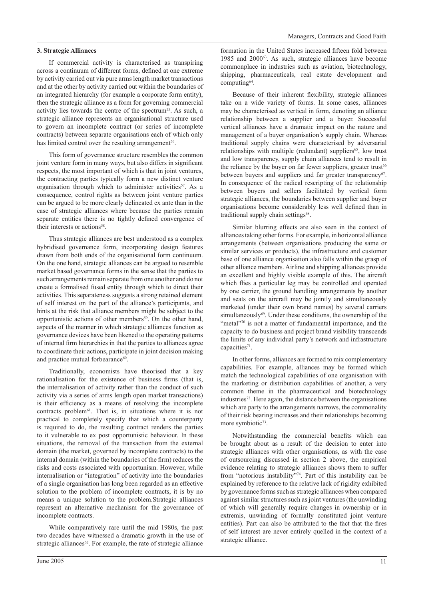#### **3. Strategic Alliances**

If commercial activity is characterised as transpiring across a continuum of different forms, defined at one extreme by activity carried out via pure arms length market transactions and at the other by activity carried out within the boundaries of an integrated hierarchy (for example a corporate form entity), then the strategic alliance as a form for governing commercial activity lies towards the centre of the spectrum<sup>55</sup>. As such, a strategic alliance represents an organisational structure used to govern an incomplete contract (or series of incomplete contracts) between separate organisations each of which only has limited control over the resulting arrangement<sup>56</sup>.

This form of governance structure resembles the common joint venture form in many ways, but also differs in significant respects, the most important of which is that in joint ventures, the contracting parties typically form a new distinct venture organisation through which to administer activities<sup>57</sup>. As a consequence, control rights as between joint venture parties can be argued to be more clearly delineated ex ante than in the case of strategic alliances where because the parties remain separate entities there is no tightly defined convergence of their interests or actions<sup>58</sup>.

Thus strategic alliances are best understood as a complex hybridised governance form, incorporating design features drawn from both ends of the organisational form continuum. On the one hand, strategic alliances can be argued to resemble market based governance forms in the sense that the parties to such arrangements remain separate from one another and do not create a formalised fused entity through which to direct their activities. This separateness suggests a strong retained element of self interest on the part of the alliance's participants, and hints at the risk that alliance members might be subject to the opportunistic actions of other members<sup>59</sup>. On the other hand, aspects of the manner in which strategic alliances function as governance devices have been likened to the operating patterns of internal firm hierarchies in that the parties to alliances agree to coordinate their actions, participate in joint decision making and practice mutual forbearance<sup>60</sup>.

Traditionally, economists have theorised that a key rationalisation for the existence of business firms (that is, the internalisation of activity rather than the conduct of such activity via a series of arms length open market transactions) is their efficiency as a means of resolving the incomplete contracts problem61. That is, in situations where it is not practical to completely specify that which a counterparty is required to do, the resulting contract renders the parties to it vulnerable to ex post opportunistic behaviour. In these situations, the removal of the transaction from the external domain (the market, governed by incomplete contracts) to the internal domain (within the boundaries of the firm) reduces the risks and costs associated with opportunism. However, while internalisation or "integration" of activity into the boundaries of a single organisation has long been regarded as an effective solution to the problem of incomplete contracts, it is by no means a unique solution to the problem.Strategic alliances represent an alternative mechanism for the governance of incomplete contracts.

While comparatively rare until the mid 1980s, the past two decades have witnessed a dramatic growth in the use of strategic alliances $62$ . For example, the rate of strategic alliance

formation in the United States increased fifteen fold between 1985 and 200063. As such, strategic alliances have become commonplace in industries such as aviation, biotechnology, shipping, pharmaceuticals, real estate development and computing $64$ .

Because of their inherent flexibility, strategic alliances take on a wide variety of forms. In some cases, alliances may be characterised as vertical in form, denoting an alliance relationship between a supplier and a buyer. Successful vertical alliances have a dramatic impact on the nature and management of a buyer organisation's supply chain. Whereas traditional supply chains were characterised by adversarial relationships with multiple (redundant) suppliers<sup>65</sup>, low trust and low transparency, supply chain alliances tend to result in the reliance by the buyer on far fewer suppliers, greater trust<sup>66</sup> between buyers and suppliers and far greater transparency<sup>67</sup>. In consequence of the radical rescripting of the relationship between buyers and sellers facilitated by vertical form strategic alliances, the boundaries between supplier and buyer organisations become considerably less well defined than in traditional supply chain settings<sup>68</sup>.

Similar blurring effects are also seen in the context of alliances taking other forms. For example, in horizontal alliance arrangements (between organisations producing the same or similar services or products), the infrastructure and customer base of one alliance organisation also falls within the grasp of other alliance members. Airline and shipping alliances provide an excellent and highly visible example of this. The aircraft which flies a particular leg may be controlled and operated by one carrier, the ground handling arrangements by another and seats on the aircraft may be jointly and simultaneously marketed (under their own brand names) by several carriers simultaneously<sup>69</sup>. Under these conditions, the ownership of the "metal"70 is not a matter of fundamental importance, and the capacity to do business and project brand visibility transcends the limits of any individual party's network and infrastructure capacities<sup>71</sup>.

In other forms, alliances are formed to mix complementary capabilities. For example, alliances may be formed which match the technological capabilities of one organisation with the marketing or distribution capabilities of another, a very common theme in the pharmaceutical and biotechnology industries72. Here again, the distance between the organisations which are party to the arrangements narrows, the commonality of their risk bearing increases and their relationships becoming more symbiotic<sup>73</sup>.

Notwithstanding the commercial benefits which can be brought about as a result of the decision to enter into strategic alliances with other organisations, as with the case of outsourcing discussed in section 2 above, the empirical evidence relating to strategic alliances shows them to suffer from "notorious instability"74. Part of this instability can be explained by reference to the relative lack of rigidity exhibited by governance forms such as strategic alliances when compared against similar structures such as joint ventures (the unwinding of which will generally require changes in ownership or in extremis, unwinding of formally constituted joint venture entities). Part can also be attributed to the fact that the fires of self interest are never entirely quelled in the context of a strategic alliance.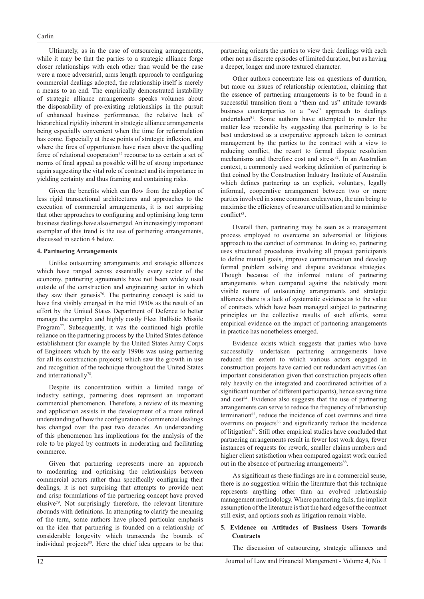Ultimately, as in the case of outsourcing arrangements, while it may be that the parties to a strategic alliance forge closer relationships with each other than would be the case were a more adversarial, arms length approach to configuring commercial dealings adopted, the relationship itself is merely a means to an end. The empirically demonstrated instability of strategic alliance arrangements speaks volumes about the disposability of pre-existing relationships in the pursuit of enhanced business performance, the relative lack of hierarchical rigidity inherent in strategic alliance arrangements being especially convenient when the time for reformulation has come. Especially at these points of strategic inflexion, and where the fires of opportunism have risen above the quelling force of relational cooperation<sup>75</sup> recourse to as certain a set of norms of final appeal as possible will be of strong importance again suggesting the vital role of contract and its importance in yielding certainty and thus framing and containing risks.

Given the benefits which can flow from the adoption of less rigid transactional architectures and approaches to the execution of commercial arrangements, it is not surprising that other approaches to configuring and optimising long term business dealings have also emerged. An increasingly important exemplar of this trend is the use of partnering arrangements, discussed in section 4 below.

#### **4. Partnering Arrangements**

Unlike outsourcing arrangements and strategic alliances which have ranged across essentially every sector of the economy, partnering agreements have not been widely used outside of the construction and engineering sector in which they saw their genesis<sup>76</sup>. The partnering concept is said to have first visibly emerged in the mid 1950s as the result of an effort by the United States Department of Defence to better manage the complex and highly costly Fleet Ballistic Missile Program<sup>77</sup>. Subsequently, it was the continued high profile reliance on the partnering process by the United States defence establishment (for example by the United States Army Corps of Engineers which by the early 1990s was using partnering for all its construction projects) which saw the growth in use and recognition of the technique throughout the United States and internationally<sup>78</sup>.

Despite its concentration within a limited range of industry settings, partnering does represent an important commercial phenomenon. Therefore, a review of its meaning and application assists in the development of a more refined understanding of how the configuration of commercial dealings has changed over the past two decades. An understanding of this phenomenon has implications for the analysis of the role to be played by contracts in moderating and facilitating commerce.

Given that partnering represents more an approach to moderating and optimising the relationships between commercial actors rather than specifically configuring their dealings, it is not surprising that attempts to provide neat and crisp formulations of the partnering concept have proved elusive $79$ . Not surprisingly therefore, the relevant literature abounds with definitions. In attempting to clarify the meaning of the term, some authors have placed particular emphasis on the idea that partnering is founded on a relationship of considerable longevity which transcends the bounds of individual projects<sup>80</sup>. Here the chief idea appears to be that

partnering orients the parties to view their dealings with each other not as discrete episodes of limited duration, but as having a deeper, longer and more textured character.

Other authors concentrate less on questions of duration, but more on issues of relationship orientation, claiming that the essence of partnering arrangements is to be found in a successful transition from a "them and us" attitude towards business counterparties to a "we" approach to dealings undertaken<sup>81</sup>. Some authors have attempted to render the matter less recondite by suggesting that partnering is to be best understood as a cooperative approach taken to contract management by the parties to the contract with a view to reducing conflict, the resort to formal dispute resolution mechanisms and therefore cost and stress<sup>82</sup>. In an Australian context, a commonly used working definition of partnering is that coined by the Construction Industry Institute of Australia which defines partnering as an explicit, voluntary, legally informal, cooperative arrangement between two or more parties involved in some common endeavours, the aim being to maximise the efficiency of resource utilisation and to minimise  $conflict^{83}$ 

Overall then, partnering may be seen as a management process employed to overcome an adversarial or litigious approach to the conduct of commerce. In doing so, partnering uses structured procedures involving all project participants to define mutual goals, improve communication and develop formal problem solving and dispute avoidance strategies. Though because of the informal nature of partnering arrangements when compared against the relatively more visible nature of outsourcing arrangements and strategic alliances there is a lack of systematic evidence as to the value of contracts which have been managed subject to partnering principles or the collective results of such efforts, some empirical evidence on the impact of partnering arrangements in practice has nonetheless emerged.

Evidence exists which suggests that parties who have successfully undertaken partnering arrangements have reduced the extent to which various actors engaged in construction projects have carried out redundant activities (an important consideration given that construction projects often rely heavily on the integrated and coordinated activities of a significant number of different participants), hence saving time and cost<sup>84</sup>. Evidence also suggests that the use of partnering arrangements can serve to reduce the frequency of relationship termination<sup>85</sup>, reduce the incidence of cost overruns and time overruns on projects $86$  and significantly reduce the incidence of litigation<sup>87</sup>. Still other empirical studies have concluded that partnering arrangements result in fewer lost work days, fewer instances of requests for rework, smaller claims numbers and higher client satisfaction when compared against work carried out in the absence of partnering arrangements<sup>88</sup>.

As significant as these findings are in a commercial sense, there is no suggestion within the literature that this technique represents anything other than an evolved relationship management methodology. Where partnering fails, the implicit assumption of the literature is that the hard edges of the contract still exist, and options such as litigation remain viable.

#### **5. Evidence on Attitudes of Business Users Towards Contracts**

The discussion of outsourcing, strategic alliances and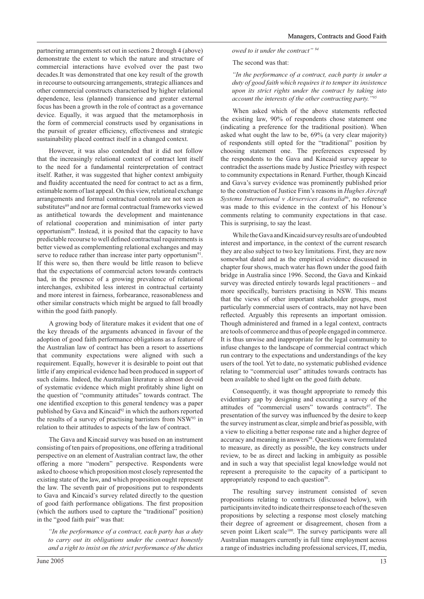partnering arrangements set out in sections 2 through 4 (above) demonstrate the extent to which the nature and structure of commercial interactions have evolved over the past two decades.It was demonstrated that one key result of the growth in recourse to outsourcing arrangements, strategic alliances and other commercial constructs characterised by higher relational dependence, less (planned) transience and greater external focus has been a growth in the role of contract as a governance device. Equally, it was argued that the metamorphosis in the form of commercial constructs used by organisations in the pursuit of greater efficiency, effectiveness and strategic sustainability placed contract itself in a changed context.

However, it was also contended that it did not follow that the increasingly relational context of contract lent itself to the need for a fundamental reinterpretation of contract itself. Rather, it was suggested that higher context ambiguity and fluidity accentuated the need for contract to act as a firm, estimable norm of last appeal. On this view, relational exchange arrangements and formal contractual controls are not seen as substitutes<sup>89</sup> and nor are formal contractual frameworks viewed as antithetical towards the development and maintenance of relational cooperation and minimisation of inter party opportunism90. Instead, it is posited that the capacity to have predictable recourse to well defined contractual requirements is better viewed as complementing relational exchanges and may serve to reduce rather than increase inter party opportunism $91$ . If this were so, then there would be little reason to believe that the expectations of commercial actors towards contracts had, in the presence of a growing prevalence of relational interchanges, exhibited less interest in contractual certainty and more interest in fairness, forbearance, reasonableness and other similar constructs which might be argued to fall broadly within the good faith panoply.

A growing body of literature makes it evident that one of the key threads of the arguments advanced in favour of the adoption of good faith performance obligations as a feature of the Australian law of contract has been a resort to assertions that community expectations were aligned with such a requirement. Equally, however it is desirable to point out that little if any empirical evidence had been produced in support of such claims. Indeed, the Australian literature is almost devoid of systematic evidence which might profi tably shine light on the question of "community attitudes" towards contract. The one identified exception to this general tendency was a paper published by Gava and Kincaid<sup>92</sup> in which the authors reported the results of a survey of practising barristers from NSW93 in relation to their attitudes to aspects of the law of contract.

The Gava and Kincaid survey was based on an instrument consisting of ten pairs of propositions, one offering a traditional perspective on an element of Australian contract law, the other offering a more "modern" perspective. Respondents were asked to choose which proposition most closely represented the existing state of the law, and which proposition ought represent the law. The seventh pair of propositions put to respondents to Gava and Kincaid's survey related directly to the question of good faith performance obligations. The first proposition (which the authors used to capture the "traditional" position) in the "good faith pair" was that:

*"In the performance of a contract, each party has a duty to carry out its obligations under the contract honestly and a right to insist on the strict performance of the duties*  *owed to it under the contract" 94*

The second was that:

*"In the performance of a contract, each party is under a duty of good faith which requires it to temper its insistence upon its strict rights under the contract by taking into account the interests of the other contracting party."95*

When asked which of the above statements reflected the existing law, 90% of respondents chose statement one (indicating a preference for the traditional position). When asked what ought the law to be, 69% (a very clear majority) of respondents still opted for the "traditional" position by choosing statement one. The preferences expressed by the respondents to the Gava and Kincaid survey appear to contradict the assertions made by Justice Priestley with respect to community expectations in Renard. Further, though Kincaid and Gava's survey evidence was prominently published prior to the construction of Justice Finn's reasons in *Hughes Aircraft Systems International v Airservices Australia*96, no reference was made to this evidence in the context of his Honour's comments relating to community expectations in that case. This is surprising, to say the least.

While the Gava and Kincaid survey results are of undoubted interest and importance, in the context of the current research they are also subject to two key limitations. First, they are now somewhat dated and as the empirical evidence discussed in chapter four shows, much water has flown under the good faith bridge in Australia since 1996. Second, the Gava and Kinkaid survey was directed entirely towards legal practitioners – and more specifically, barristers practising in NSW. This means that the views of other important stakeholder groups, most particularly commercial users of contracts, may not have been reflected. Arguably this represents an important omission. Though administered and framed in a legal context, contracts are tools of commerce and thus of people engaged in commerce. It is thus unwise and inappropriate for the legal community to infuse changes to the landscape of commercial contract which run contrary to the expectations and understandings of the key users of the tool. Yet to date, no systematic published evidence relating to "commercial user" attitudes towards contracts has been available to shed light on the good faith debate.

Consequently, it was thought appropriate to remedy this evidentiary gap by designing and executing a survey of the attitudes of "commercial users" towards contracts<sup>97</sup>. The presentation of the survey was influenced by the desire to keep the survey instrument as clear, simple and brief as possible, with a view to eliciting a better response rate and a higher degree of accuracy and meaning in answers<sup>98</sup>. Questions were formulated to measure, as directly as possible, the key constructs under review, to be as direct and lacking in ambiguity as possible and in such a way that specialist legal knowledge would not represent a prerequisite to the capacity of a participant to appropriately respond to each question<sup>99</sup>.

The resulting survey instrument consisted of seven propositions relating to contracts (discussed below), with participants invited to indicate their response to each of the seven propositions by selecting a response most closely matching their degree of agreement or disagreement, chosen from a seven point Likert scale<sup>100</sup>. The survey participants were all Australian managers currently in full time employment across a range of industries including professional services, IT, media,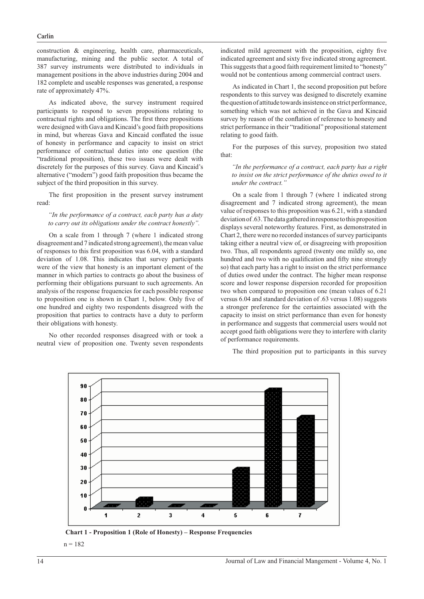construction & engineering, health care, pharmaceuticals, manufacturing, mining and the public sector. A total of 387 survey instruments were distributed to individuals in management positions in the above industries during 2004 and 182 complete and useable responses was generated, a response rate of approximately 47%.

As indicated above, the survey instrument required participants to respond to seven propositions relating to contractual rights and obligations. The first three propositions were designed with Gava and Kincaid's good faith propositions in mind, but whereas Gava and Kincaid conflated the issue of honesty in performance and capacity to insist on strict performance of contractual duties into one question (the "traditional proposition), these two issues were dealt with discretely for the purposes of this survey. Gava and Kincaid's alternative ("modern") good faith proposition thus became the subject of the third proposition in this survey.

The first proposition in the present survey instrument read:

*"In the performance of a contract, each party has a duty to carry out its obligations under the contract honestly".*

On a scale from 1 through 7 (where 1 indicated strong disagreement and 7 indicated strong agreement), the mean value of responses to this first proposition was 6.04, with a standard deviation of 1.08. This indicates that survey participants were of the view that honesty is an important element of the manner in which parties to contracts go about the business of performing their obligations pursuant to such agreements. An analysis of the response frequencies for each possible response to proposition one is shown in Chart 1, below. Only five of one hundred and eighty two respondents disagreed with the proposition that parties to contracts have a duty to perform their obligations with honesty.

No other recorded responses disagreed with or took a neutral view of proposition one. Twenty seven respondents indicated mild agreement with the proposition, eighty five indicated agreement and sixty five indicated strong agreement. This suggests that a good faith requirement limited to "honesty" would not be contentious among commercial contract users.

As indicated in Chart 1, the second proposition put before respondents to this survey was designed to discretely examine the question of attitude towards insistence on strict performance, something which was not achieved in the Gava and Kincaid survey by reason of the conflation of reference to honesty and strict performance in their "traditional" propositional statement relating to good faith.

For the purposes of this survey, proposition two stated that:

*"In the performance of a contract, each party has a right*  to insist on the strict performance of the duties owed to it *under the contract."*

On a scale from 1 through 7 (where 1 indicated strong disagreement and 7 indicated strong agreement), the mean value of responses to this proposition was 6.21, with a standard deviation of .63. The data gathered in response to this proposition displays several noteworthy features. First, as demonstrated in Chart 2, there were no recorded instances of survey participants taking either a neutral view of, or disagreeing with proposition two. Thus, all respondents agreed (twenty one mildly so, one hundred and two with no qualification and fifty nine strongly so) that each party has a right to insist on the strict performance of duties owed under the contract. The higher mean response score and lower response dispersion recorded for proposition two when compared to proposition one (mean values of 6.21 versus 6.04 and standard deviation of .63 versus 1.08) suggests a stronger preference for the certainties associated with the capacity to insist on strict performance than even for honesty in performance and suggests that commercial users would not accept good faith obligations were they to interfere with clarity of performance requirements.



The third proposition put to participants in this survey

 **Chart 1 - Proposition 1 (Role of Honesty) – Response Frequencies**

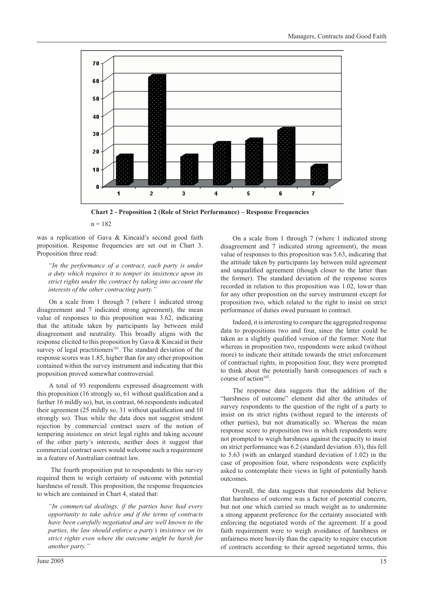

**Chart 2 - Proposition 2 (Role of Strict Performance) – Response Frequencies**

was a replication of Gava & Kincaid's second good faith proposition. Response frequencies are set out in Chart 3. Proposition three read:

*"In the performance of a contract, each party is under a duty which requires it to temper its insistence upon its strict rights under the contract by taking into account the interests of the other contracting party."*

On a scale from 1 through 7 (where 1 indicated strong disagreement and 7 indicated strong agreement), the mean value of responses to this proposition was 3.62, indicating that the attitude taken by participants lay between mild disagreement and neutrality. This broadly aligns with the response elicited to this proposition by Gava & Kincaid in their survey of legal practitioners<sup>101</sup>. The standard deviation of the response scores was 1.85, higher than for any other proposition contained within the survey instrument and indicating that this proposition proved somewhat controversial.

A total of 93 respondents expressed disagreement with this proposition (16 strongly so, 61 without qualification and a further 16 mildly so), but, in contrast, 66 respondents indicated their agreement (25 mildly so, 31 without qualification and  $10$ strongly so). Thus while the data does not suggest strident rejection by commercial contract users of the notion of tempering insistence on strict legal rights and taking account of the other party's interests, neither does it suggest that commercial contract users would welcome such a requirement as a feature of Australian contract law.

 The fourth proposition put to respondents to this survey required them to weigh certainty of outcome with potential harshness of result. This proposition, the response frequencies to which are contained in Chart 4, stated that:

*"In commercial dealings, if the parties have had every opportunity to take advice and if the terms of contracts have been carefully negotiated and are well known to the parties, the law should enforce a party's insistence on its strict rights even where the outcome might be harsh for another party."*

On a scale from 1 through 7 (where 1 indicated strong disagreement and 7 indicated strong agreement), the mean value of responses to this proposition was 5.63, indicating that the attitude taken by participants lay between mild agreement and unqualified agreement (though closer to the latter than the former). The standard deviation of the response scores recorded in relation to this proposition was 1.02, lower than for any other proposition on the survey instrument except for proposition two, which related to the right to insist on strict performance of duties owed pursuant to contract.

Indeed, it is interesting to compare the aggregated response data to propositions two and four, since the latter could be taken as a slightly qualified version of the former. Note that whereas in proposition two, respondents were asked (without more) to indicate their attitude towards the strict enforcement of contractual rights, in proposition four, they were prompted to think about the potentially harsh consequences of such a course of action<sup>102</sup>.

The response data suggests that the addition of the "harshness of outcome" element did alter the attitudes of survey respondents to the question of the right of a party to insist on its strict rights (without regard to the interests of other parties), but not dramatically so. Whereas the mean response score to proposition two in which respondents were not prompted to weigh harshness against the capacity to insist on strict performance was 6.2 (standard deviation .63), this fell to 5.63 (with an enlarged standard deviation of 1.02) in the case of proposition four, where respondents were explicitly asked to contemplate their views in light of potentially harsh outcomes.

Overall, the data suggests that respondents did believe that harshness of outcome was a factor of potential concern, but not one which carried so much weight as to undermine a strong apparent preference for the certainty associated with enforcing the negotiated words of the agreement. If a good faith requirement were to weigh avoidance of harshness or unfairness more heavily than the capacity to require execution of contracts according to their agreed negotiated terms, this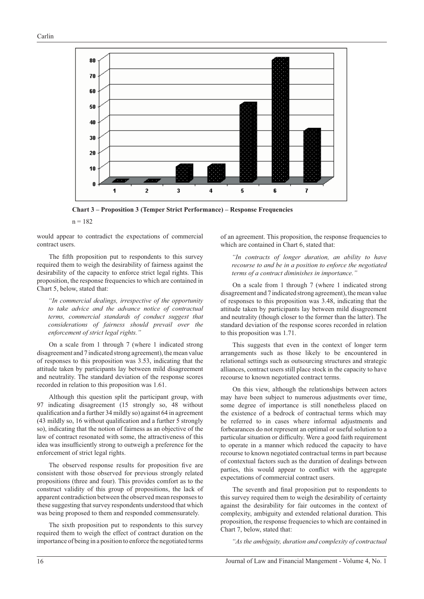

**Chart 3 – Proposition 3 (Temper Strict Performance) – Response Frequencies**

would appear to contradict the expectations of commercial contract users.

The fifth proposition put to respondents to this survey required them to weigh the desirability of fairness against the desirability of the capacity to enforce strict legal rights. This proposition, the response frequencies to which are contained in Chart 5, below, stated that:

*"In commercial dealings, irrespective of the opportunity to take advice and the advance notice of contractual terms, commercial standards of conduct suggest that considerations of fairness should prevail over the enforcement of strict legal rights."*

On a scale from 1 through 7 (where 1 indicated strong disagreement and 7 indicated strong agreement), the mean value of responses to this proposition was 3.53, indicating that the attitude taken by participants lay between mild disagreement and neutrality. The standard deviation of the response scores recorded in relation to this proposition was 1.61.

Although this question split the participant group, with 97 indicating disagreement (15 strongly so, 48 without qualification and a further 34 mildly so) against 64 in agreement  $(43$  mildly so, 16 without qualification and a further 5 strongly so), indicating that the notion of fairness as an objective of the law of contract resonated with some, the attractiveness of this idea was insufficiently strong to outweigh a preference for the enforcement of strict legal rights.

The observed response results for proposition five are consistent with those observed for previous strongly related propositions (three and four). This provides comfort as to the construct validity of this group of propositions, the lack of apparent contradiction between the observed mean responses to these suggesting that survey respondents understood that which was being proposed to them and responded commensurately.

The sixth proposition put to respondents to this survey required them to weigh the effect of contract duration on the importance of being in a position to enforce the negotiated terms

of an agreement. This proposition, the response frequencies to which are contained in Chart 6, stated that:

*"In contracts of longer duration, an ability to have recourse to and be in a position to enforce the negotiated terms of a contract diminishes in importance."*

On a scale from 1 through 7 (where 1 indicated strong disagreement and 7 indicated strong agreement), the mean value of responses to this proposition was 3.48, indicating that the attitude taken by participants lay between mild disagreement and neutrality (though closer to the former than the latter). The standard deviation of the response scores recorded in relation to this proposition was 1.71.

This suggests that even in the context of longer term arrangements such as those likely to be encountered in relational settings such as outsourcing structures and strategic alliances, contract users still place stock in the capacity to have recourse to known negotiated contract terms.

On this view, although the relationships between actors may have been subject to numerous adjustments over time, some degree of importance is still nonetheless placed on the existence of a bedrock of contractual terms which may be referred to in cases where informal adjustments and forbearances do not represent an optimal or useful solution to a particular situation or difficulty. Were a good faith requirement to operate in a manner which reduced the capacity to have recourse to known negotiated contractual terms in part because of contextual factors such as the duration of dealings between parties, this would appear to conflict with the aggregate expectations of commercial contract users.

The seventh and final proposition put to respondents to this survey required them to weigh the desirability of certainty against the desirability for fair outcomes in the context of complexity, ambiguity and extended relational duration. This proposition, the response frequencies to which are contained in Chart 7, below, stated that:

*"As the ambiguity, duration and complexity of contractual*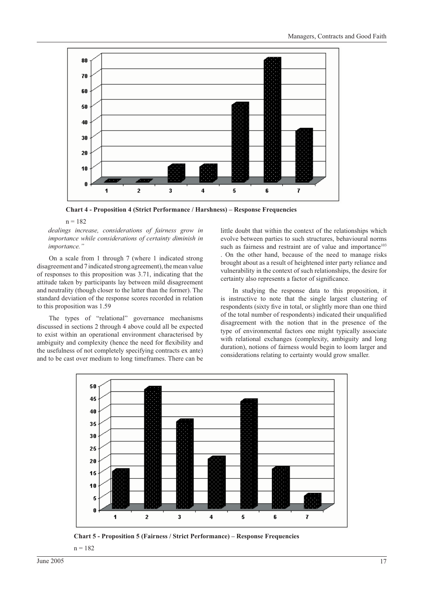

**Chart 4 - Proposition 4 (Strict Performance / Harshness) – Response Frequencies**

*dealings increase, considerations of fairness grow in importance while considerations of certainty diminish in importance."*

On a scale from 1 through 7 (where 1 indicated strong disagreement and 7 indicated strong agreement), the mean value of responses to this proposition was 3.71, indicating that the attitude taken by participants lay between mild disagreement and neutrality (though closer to the latter than the former). The standard deviation of the response scores recorded in relation to this proposition was 1.59

The types of "relational" governance mechanisms discussed in sections 2 through 4 above could all be expected to exist within an operational environment characterised by ambiguity and complexity (hence the need for flexibility and the usefulness of not completely specifying contracts ex ante) and to be cast over medium to long timeframes. There can be

little doubt that within the context of the relationships which evolve between parties to such structures, behavioural norms such as fairness and restraint are of value and importance<sup>103</sup>

. On the other hand, because of the need to manage risks brought about as a result of heightened inter party reliance and vulnerability in the context of such relationships, the desire for certainty also represents a factor of significance.

In studying the response data to this proposition, it is instructive to note that the single largest clustering of respondents (sixty five in total, or slightly more than one third of the total number of respondents) indicated their unqualified disagreement with the notion that in the presence of the type of environmental factors one might typically associate with relational exchanges (complexity, ambiguity and long duration), notions of fairness would begin to loom larger and considerations relating to certainty would grow smaller.



**Chart 5 - Proposition 5 (Fairness / Strict Performance) – Response Frequencies**

 $n = 182$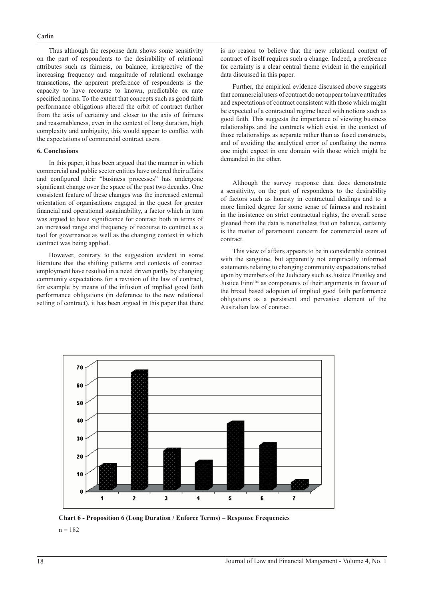#### Carlin

Thus although the response data shows some sensitivity on the part of respondents to the desirability of relational attributes such as fairness, on balance, irrespective of the increasing frequency and magnitude of relational exchange transactions, the apparent preference of respondents is the capacity to have recourse to known, predictable ex ante specified norms. To the extent that concepts such as good faith performance obligations altered the orbit of contract further from the axis of certainty and closer to the axis of fairness and reasonableness, even in the context of long duration, high complexity and ambiguity, this would appear to conflict with the expectations of commercial contract users.

#### **6. Conclusions**

In this paper, it has been argued that the manner in which commercial and public sector entities have ordered their affairs and configured their "business processes" has undergone significant change over the space of the past two decades. One consistent feature of these changes was the increased external orientation of organisations engaged in the quest for greater financial and operational sustainability, a factor which in turn was argued to have significance for contract both in terms of an increased range and frequency of recourse to contract as a tool for governance as well as the changing context in which contract was being applied.

However, contrary to the suggestion evident in some literature that the shifting patterns and contexts of contract employment have resulted in a need driven partly by changing community expectations for a revision of the law of contract, for example by means of the infusion of implied good faith performance obligations (in deference to the new relational setting of contract), it has been argued in this paper that there

is no reason to believe that the new relational context of contract of itself requires such a change. Indeed, a preference for certainty is a clear central theme evident in the empirical data discussed in this paper.

Further, the empirical evidence discussed above suggests that commercial users of contract do not appear to have attitudes and expectations of contract consistent with those which might be expected of a contractual regime laced with notions such as good faith. This suggests the importance of viewing business relationships and the contracts which exist in the context of those relationships as separate rather than as fused constructs, and of avoiding the analytical error of conflating the norms one might expect in one domain with those which might be demanded in the other.

Although the survey response data does demonstrate a sensitivity, on the part of respondents to the desirability of factors such as honesty in contractual dealings and to a more limited degree for some sense of fairness and restraint in the insistence on strict contractual rights, the overall sense gleaned from the data is nonetheless that on balance, certainty is the matter of paramount concern for commercial users of contract.

This view of affairs appears to be in considerable contrast with the sanguine, but apparently not empirically informed statements relating to changing community expectations relied upon by members of the Judiciary such as Justice Priestley and Justice Finn<sup>104</sup> as components of their arguments in favour of the broad based adoption of implied good faith performance obligations as a persistent and pervasive element of the Australian law of contract.



**Chart 6 - Proposition 6 (Long Duration / Enforce Terms) – Response Frequencies**  $n = 182$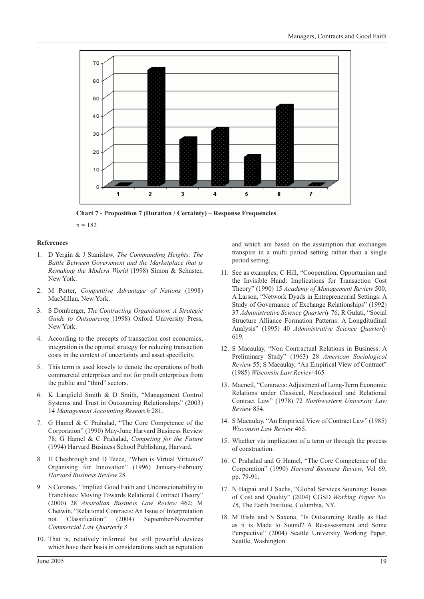

**Chart 7 - Proposition 7 (Duration / Certainty) – Response Frequencies**

#### **References**

- 1. D Yergin & J Stanislaw, *The Commanding Heights: The Battle Between Government and the Marketplace that is Remaking the Modern World* (1998) Simon & Schuster, New York.
- 2. M Porter, *Competitive Advantage of Nations* (1998) MacMillan, New York.
- 3. S Domberger, *The Contracting Organisation: A Strategic Guide to Outsourcing* (1998) Oxford University Press, New York.
- 4. According to the precepts of transaction cost economics, integration is the optimal strategy for reducing transaction costs in the context of uncertainty and asset specificity.
- 5. This term is used loosely to denote the operations of both commercial enterprises and not for profit enterprises from the public and "third" sectors.
- 6. K Langfield Smith & D Smith, "Management Control Systems and Trust in Outsourcing Relationships" (2003) 14 *Management Accounting Research* 281.
- 7. G Hamel & C Prahalad, "The Core Competence of the Corporation" (1990) May-June Harvard Business Review 78; G Hamel & C Prahalad, *Competing for the Future* (1994) Harvard Business School Publishing, Harvard.
- 8. H Chesbrough and D Teece, "When is Virtual Virtuous? Organising for Innovation" (1996) January-February *Harvard Business Review* 28.
- 9. S Corones, "Implied Good Faith and Unconscionability in Franchises: Moving Towards Relational Contract Theory" (2000) 28 *Australian Business Law Review* 462; M Chetwin, "Relational Contracts: An Issue of Interpretation not Classification" (2004) September-November *Commercial Law Quarterly 3*.
- 10. That is, relatively informal but still powerful devices which have their basis in considerations such as reputation

and which are based on the assumption that exchanges transpire in a multi period setting rather than a single period setting.

- 11. See as examples; C Hill, "Cooperation, Opportunism and the Invisible Hand: Implications for Transaction Cost Theory" (1990) 15 *Academy of Management Review* 500; A Larson, "Network Dyads in Entrepreneurial Settings: A Study of Governance of Exchange Relationships" (1992) 37 *Administrative Science Quarterly* 76; R Gulati, "Social Structure Alliance Formation Patterns: A Longditudinal Analysis" (1995) 40 *Administrative Science Quarterly* 619.
- 12. S Macaulay, "Non Contractual Relations in Business: A Preliminary Study" (1963) 28 *American Sociological Review* 55; S Macaulay, "An Empirical View of Contract" (1985) *Wisconsin Law Review* 465
- 13. Macneil, "Contracts: Adjustment of Long-Term Economic Relations under Classical, Neoclassical and Relational Contract Law" (1978) 72 *Northwestern University Law Review* 854.
- 14. S Macaulay, "An Empirical View of Contract Law" (1985) *Wisconsin Law Review* 465.
- 15. Whether via implication of a term or through the process of construction.
- 16. C Prahalad and G Hamel, "The Core Competence of the Corporation" (1990) *Harvard Business Review*, Vol 69, pp. 79-91.
- 17. N Bajpai and J Sachs, "Global Services Sourcing: Issues of Cost and Quality" (2004) CGSD *Working Paper No. 16*, The Earth Institute, Columbia, NY.
- 18. M Rishi and S Saxena, "Is Outsourcing Really as Bad as it is Made to Sound? A Re-assessment and Some Perspective" (2004) Seattle University Working Paper, Seattle, Washington.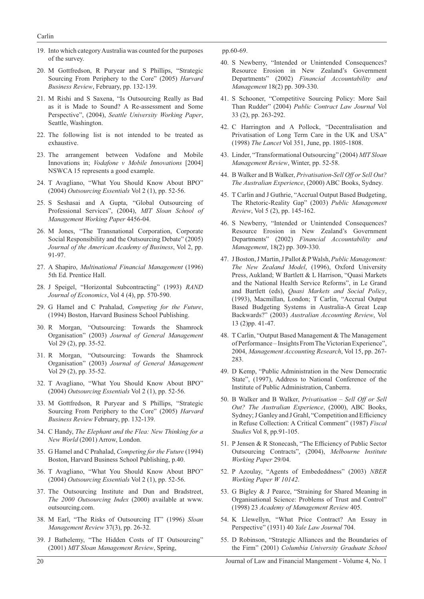- 19. Into which category Australia was counted for the purposes of the survey.
- 20. M Gottfredson, R Puryear and S Phillips, "Strategic Sourcing From Periphery to the Core" (2005) *Harvard Business Review*, February, pp. 132-139.
- 21. M Rishi and S Saxena, "Is Outsourcing Really as Bad as it is Made to Sound? A Re-assessment and Some Perspective", (2004), *Seattle University Working Paper*, Seattle, Washington.
- 22. The following list is not intended to be treated as exhaustive.
- 23. The arrangement between Vodafone and Mobile Innovations in; *Vodafone v Mobile Innovations* [2004] NSWCA 15 represents a good example.
- 24. T Avagliano, "What You Should Know About BPO" (2004) *Outsourcing Essentials* Vol 2 (1), pp. 52-56.
- 25. S Seshasai and A Gupta, "Global Outsourcing of Professional Services", (2004), *MIT Sloan School of Management Working Paper* 4456-04.
- 26. M Jones, "The Transnational Corporation, Corporate Social Responsibility and the Outsourcing Debate" (2005) *Journal of the American Academy of Business*, Vol 2, pp. 91-97.
- 27. A Shapiro, *Multinational Financial Management* (1996) 5th Ed. Prentice Hall.
- 28. J Speigel, "Horizontal Subcontracting" (1993) *RAND Journal of Economics*, Vol 4 (4), pp. 570-590.
- 29. G Hamel and C Prahalad, *Competing for the Future*, (1994) Boston, Harvard Business School Publishing.
- 30. R Morgan, "Outsourcing: Towards the Shamrock Organisation" (2003) *Journal of General Management*  Vol 29 (2), pp. 35-52.
- 31. R Morgan, "Outsourcing: Towards the Shamrock Organisation" (2003) *Journal of General Management* Vol 29 (2), pp. 35-52.
- 32. T Avagliano, "What You Should Know About BPO" (2004) *Outsourcing Essentials* Vol 2 (1), pp. 52-56.
- 33. M Gottfredson, R Puryear and S Phillips, "Strategic Sourcing From Periphery to the Core" (2005) *Harvard Business Review* February, pp. 132-139.
- 34. C Handy, *The Elephant and the Flea: New Thinking for a New World* (2001) Arrow, London.
- 35. G Hamel and C Prahalad, *Competing for the Future* (1994) Boston, Harvard Business School Publishing, p.40.
- 36. T Avagliano, "What You Should Know About BPO" (2004) *Outsourcing Essentials* Vol 2 (1), pp. 52-56.
- 37. The Outsourcing Institute and Dun and Bradstreet, *The 2000 Outsourcing Index* (2000) available at www. outsourcing.com.
- 38. M Earl, "The Risks of Outsourcing IT" (1996) *Sloan Management Review* 37(3), pp. 26-32.
- 39. J Bathelemy, "The Hidden Costs of IT Outsourcing" (2001) *MIT Sloan Management Review*, Spring,

pp.60-69.

- 40. S Newberry, "Intended or Unintended Consequences? Resource Erosion in New Zealand's Government Departments" (2002) *Financial Accountability and Management* 18(2) pp. 309-330.
- 41. S Schooner, "Competitive Sourcing Policy: More Sail Than Rudder" (2004) *Public Contract Law Journal* Vol 33 (2), pp. 263-292.
- 42. C Harrington and A Pollock, "Decentralisation and Privatisation of Long Term Care in the UK and USA" (1998) *The Lancet* Vol 351, June, pp. 1805-1808.
- 43. Linder, "Transformational Outsourcing" (2004) *MIT Sloan Management Review*, Winter, pp. 52-58.
- 44. B Walker and B Walker, *Privatisation-Sell Off or Sell Out? The Australian Experience*, (2000) ABC Books, Sydney.
- 45. T Carlin and J Guthrie, "Accrual Output Based Budgeting, The Rhetoric-Reality Gap" (2003) *Public Management Review*, Vol 5 (2), pp. 145-162.
- 46. S Newberry, "Intended or Unintended Consequences? Resource Erosion in New Zealand's Government Departments" (2002) *Financial Accountability and Management*, 18(2) pp. 309-330.
- 47. J Boston, J Martin, J Pallot & P Walsh, *Public Management: The New Zealand Model*, (1996), Oxford University Press, Aukland; W Bartlett & L Harrison, "Quasi Markets and the National Health Service Reforms", in Le Grand and Bartlett (eds), *Quasi Markets and Social Policy*, (1993), Macmillan, London; T Carlin, "Accrual Output Based Budgeting Systems in Australia-A Great Leap Backwards?" (2003) *Australian Accounting Review*, Vol 13 (2)pp. 41-47.
- 48. T Carlin, "Output Based Management & The Management of Performance – Insights From The Victorian Experience", 2004, *Management Accounting Research*, Vol 15, pp. 267- 283.
- 49. D Kemp, "Public Administration in the New Democratic State", (1997), Address to National Conference of the Institute of Public Administration, Canberra.
- 50. B Walker and B Walker, *Privatisation Sell Off or Sell Out? The Australian Experience*, (2000), ABC Books, Sydney; J Ganley and J Grahl, "Competition and Efficiency in Refuse Collection: A Critical Comment" (1987) *Fiscal Studies* Vol 8, pp.91-105.
- 51. P Jensen & R Stonecash, "The Efficiency of Public Sector Outsourcing Contracts", (2004), *Melbourne Institute Working Paper* 29/04.
- 52. P Azoulay, "Agents of Embededdness" (2003) *NBER Working Paper W 10142*.
- 53. G Bigley & J Pearce, "Straining for Shared Meaning in Organisational Science: Problems of Trust and Control" (1998) 23 *Academy of Management Review* 405.
- 54. K Llewellyn, "What Price Contract? An Essay in Perspective" (1931) 40 *Yale Law Journal* 704.
- 55. D Robinson, "Strategic Alliances and the Boundaries of the Firm" (2001) *Columbia University Graduate School*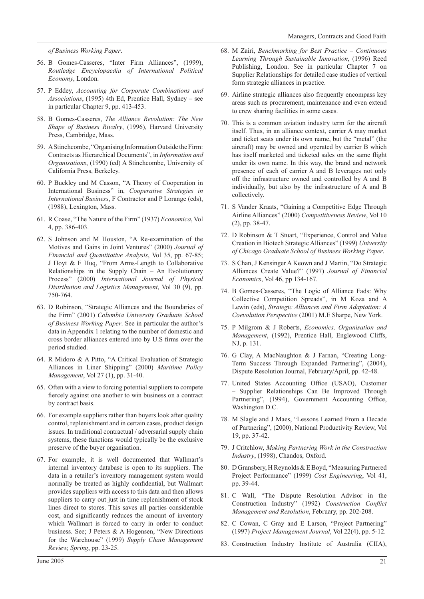*of Business Working Paper*.

- 56. B Gomes-Casseres, "Inter Firm Alliances", (1999), *Routledge Encyclopaedia of International Political Economy*, London.
- 57. P Eddey, *Accounting for Corporate Combinations and Associations*, (1995) 4th Ed, Prentice Hall, Sydney – see in particular Chapter 9, pp. 413-453.
- 58. B Gomes-Casseres, *The Alliance Revolution: The New Shape of Business Rivalry*, (1996), Harvard University Press, Cambridge, Mass.
- 59. A Stinchcombe, "Organising Information Outside the Firm: Contracts as Hierarchical Documents", in *Information and Organisations*, (1990) (ed) A Stinchcombe, University of California Press, Berkeley.
- 60. P Buckley and M Casson, "A Theory of Cooperation in International Business" in, *Cooperative Strategies in International Business*, F Contractor and P Lorange (eds), (1988), Lexington, Mass.
- 61. R Coase, "The Nature of the Firm" (1937) *Economica*, Vol 4, pp. 386-403.
- 62. S Johnson and M Houston, "A Re-examination of the Motives and Gains in Joint Ventures" (2000) *Journal of Financial and Quantitative Analysis*, Vol 35, pp. 67-85; J Hoyt & F Huq, "From Arms-Length to Collaborative Relationships in the Supply Chain – An Evolutionary Process" (2000) *International Journal of Physical Distribution and Logistics Management*, Vol 30 (9), pp. 750-764.
- 63. D Robinson, "Strategic Alliances and the Boundaries of the Firm" (2001) *Columbia University Graduate School of Business Working Paper*. See in particular the author's data in Appendix 1 relating to the number of domestic and cross border alliances entered into by U.S firms over the period studied.
- 64. R Midoro & A Pitto, "A Critical Evaluation of Strategic Alliances in Liner Shipping" (2000) *Maritime Policy Management*, Vol 27 (1), pp. 31-40.
- 65. Often with a view to forcing potential suppliers to compete fiercely against one another to win business on a contract by contract basis.
- 66. For example suppliers rather than buyers look after quality control, replenishment and in certain cases, product design issues. In traditional contractual / adversarial supply chain systems, these functions would typically be the exclusive preserve of the buyer organisation.
- 67. For example, it is well documented that Wallmart's internal inventory database is open to its suppliers. The data in a retailer's inventory management system would normally be treated as highly confidential, but Wallmart provides suppliers with access to this data and then allows suppliers to carry out just in time replenishment of stock lines direct to stores. This saves all parties considerable cost, and significantly reduces the amount of inventory which Wallmart is forced to carry in order to conduct business. See; J Peters & A Hogensen, "New Directions for the Warehouse" (1999) *Supply Chain Management Review, Spring*, pp. 23-25.
- 68. M Zairi, *Benchmarking for Best Practice Continuous Learning Through Sustainable Innovation*, (1996) Reed Publishing, London. See in particular Chapter 7 on Supplier Relationships for detailed case studies of vertical form strategic alliances in practice.
- 69. Airline strategic alliances also frequently encompass key areas such as procurement, maintenance and even extend to crew sharing facilities in some cases.
- 70. This is a common aviation industry term for the aircraft itself. Thus, in an alliance context, carrier A may market and ticket seats under its own name, but the "metal" (the aircraft) may be owned and operated by carrier B which has itself marketed and ticketed sales on the same flight under its own name. In this way, the brand and network presence of each of carrier A and B leverages not only off the infrastructure owned and controlled by A and B individually, but also by the infrastructure of A and B collectively.
- 71. S Vander Kraats, "Gaining a Competitive Edge Through Airline Alliances" (2000) *Competitiveness Review*, Vol 10 (2), pp. 38-47.
- 72. D Robinson & T Stuart, "Experience, Control and Value Creation in Biotech Strategic Alliances" (1999) *University of Chicago Graduate School of Business Working Paper*.
- 73. S Chan, J Kensinger A Keown and J Martin, "Do Strategic Alliances Create Value?" (1997) *Journal of Financial Economics*, Vol 46, pp 134-167.
- 74. B Gomes-Casseres, "The Logic of Alliance Fads: Why Collective Competition Spreads", in M Koza and A Lewin (eds), *Strategic Alliances and Firm Adaptation: A Coevolution Perspective* (2001) M.E Sharpe, New York.
- 75. P Milgrom & J Roberts, *Economics, Organisation and Management*, (1992), Prentice Hall, Englewood Cliffs, NJ, p. 131.
- 76. G Clay, A MacNaughton & J Farnan, "Creating Long-Term Success Through Expanded Partnering", (2004), Dispute Resolution Journal, February/April, pp. 42-48.
- 77. United States Accounting Office (USAO), Customer – Supplier Relationships Can Be Improved Through Partnering", (1994), Government Accounting Office, Washington D.C.
- 78. M Slagle and J Maes, "Lessons Learned From a Decade of Partnering", (2000), National Productivity Review, Vol 19, pp. 37-42.
- 79. J Critchlow, *Making Partnering Work in the Construction Industry*, (1998), Chandos, Oxford.
- 80. D Gransbery, H Reynolds & E Boyd, "Measuring Partnered Project Performance" (1999) *Cost Engineering*, Vol 41, pp. 39-44.
- 81. C Wall, "The Dispute Resolution Advisor in the Construction Industry" (1992) *Construction Conflict Management and Resolution*, February, pp. 202-208.
- 82. C Cowan, C Gray and E Larson, "Project Partnering" (1997) *Project Management Journal*, Vol 22(4), pp. 5-12.
- 83. Construction Industry Institute of Australia (CIIA),